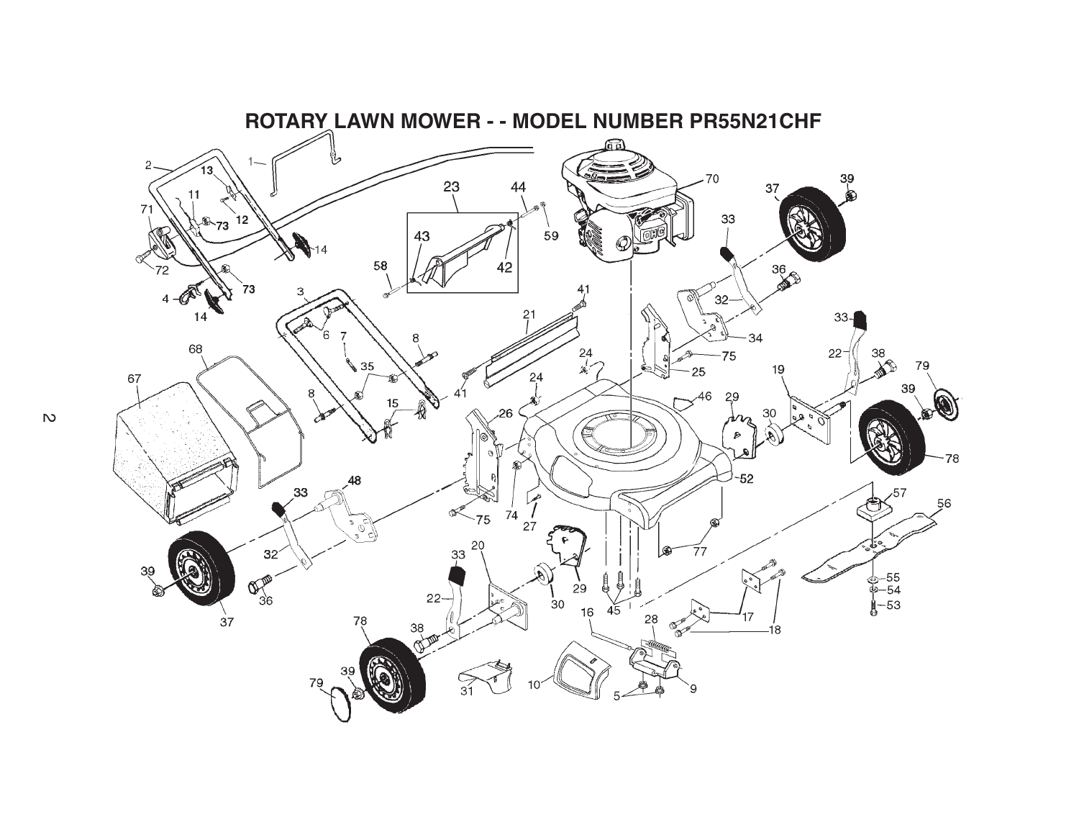

 $\overline{v}$